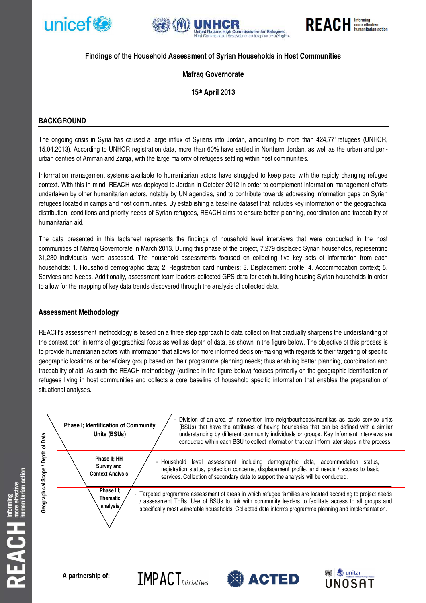





# **Findings of the Household Assessment of Syrian Households in Host Communities**

# **Mafraq Governorate**

**15th April 2013** 

# **BACKGROUND**

The ongoing crisis in Syria has caused a large influx of Syrians into Jordan, amounting to more than 424,771refugees (UNHCR, 15.04.2013). According to UNHCR registration data, more than 60% have settled in Northern Jordan, as well as the urban and periurban centres of Amman and Zarqa, with the large majority of refugees settling within host communities.

Information management systems available to humanitarian actors have struggled to keep pace with the rapidly changing refugee context. With this in mind, REACH was deployed to Jordan in October 2012 in order to complement information management efforts undertaken by other humanitarian actors, notably by UN agencies, and to contribute towards addressing information gaps on Syrian refugees located in camps and host communities. By establishing a baseline dataset that includes key information on the geographical distribution, conditions and priority needs of Syrian refugees, REACH aims to ensure better planning, coordination and traceability of humanitarian aid.

The data presented in this factsheet represents the findings of household level interviews that were conducted in the host communities of Mafraq Governorate in March 2013. During this phase of the project, 7,279 displaced Syrian households, representing 31,230 individuals, were assessed. The household assessments focused on collecting five key sets of information from each households: 1. Household demographic data; 2. Registration card numbers; 3. Displacement profile; 4. Accommodation context; 5. Services and Needs. Additionally, assessment team leaders collected GPS data for each building housing Syrian households in order to allow for the mapping of key data trends discovered through the analysis of collected data.

# **Assessment Methodology**

REACH's assessment methodology is based on a three step approach to data collection that gradually sharpens the understanding of the context both in terms of geographical focus as well as depth of data, as shown in the figure below. The objective of this process is to provide humanitarian actors with information that allows for more informed decision-making with regards to their targeting of specific geographic locations or beneficiary group based on their programme planning needs; thus enabling better planning, coordination and traceability of aid. As such the REACH methodology (outlined in the figure below) focuses primarily on the geographic identification of refugees living in host communities and collects a core baseline of household specific information that enables the preparation of situational analyses.

 $IMPACT_{Initiations}$ 



Division of an area of intervention into neighbourhoods/mantikas as basic service units (BSUs) that have the attributes of having boundaries that can be defined with a similar understanding by different community individuals or groups. Key Informant interviews are conducted within each BSU to collect information that can inform later steps in the process.

Household level assessment including demographic data, accommodation status, registration status, protection concerns, displacement profile, and needs / access to basic services. Collection of secondary data to support the analysis will be conducted.

Targeted programme assessment of areas in which refugee families are located according to project needs / assessment ToRs. Use of BSUs to link with community leaders to facilitate access to all groups and specifically most vulnerable households. Collected data informs programme planning and implementation.



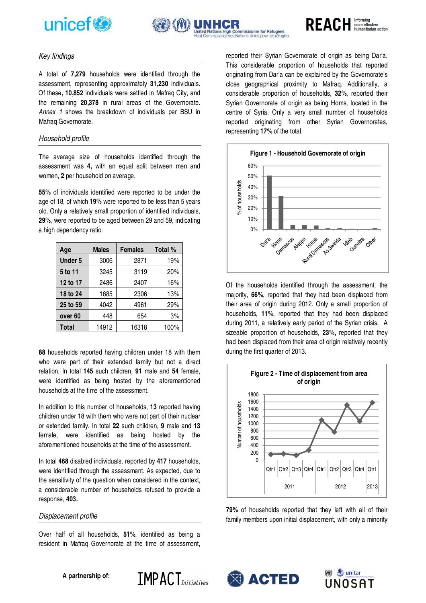





# Key findings

A total of **7,279** households were identified through the assessment, representing approximately **31,230** individuals. Of these**, 10,852** individuals were settled in Mafraq City, and the remaining **20,378** in rural areas of the Governorate. Annex 1 shows the breakdown of individuals per BSU in Mafraq Governorate.

### Household profile

The average size of households identified through the assessment was **4,** with an equal split between men and women, **2** per household on average.

**55%** of individuals identified were reported to be under the age of 18, of which **19%** were reported to be less than 5 years old. Only a relatively small proportion of identified individuals, **29%**, were reported to be aged between 29 and 59, indicating a high dependency ratio.

| Age                | <b>Males</b> | <b>Females</b> | Total % |
|--------------------|--------------|----------------|---------|
| <b>Under 5</b>     | 3006         | 2871           | 19%     |
| 5 to 11            | 3245         | 3119           | 20%     |
| 12 to 17           | 2486         | 2407           | 16%     |
| 18 to 24           | 1685         | 2306           | 13%     |
| 25 to 59           | 4042         | 4961           | 29%     |
| over <sub>60</sub> | 448          | 654            | 3%      |
| <b>Total</b>       | 14912        | 16318          | 100%    |

**88** households reported having children under 18 with them who were part of their extended family but not a direct relation. In total **145** such children, **91** male and **54** female, were identified as being hosted by the aforementioned households at the time of the assessment.

In addition to this number of households, **13** reported having children under 18 with them who were not part of their nuclear or extended family. In total **22** such children, **9** male and **13** female, were identified as being hosted by the aforementioned households at the time of the assessment.

In total **468** disabled individuals, reported by **417** households, were identified through the assessment. As expected, due to the sensitivity of the question when considered in the context, a considerable number of households refused to provide a response, **403.** 

### Displacement profile

Over half of all households, **51%**, identified as being a resident in Mafraq Governorate at the time of assessment,

 $IMPACT$ 

reported their Syrian Governorate of origin as being Dar'a. This considerable proportion of households that reported originating from Dar'a can be explained by the Governorate's close geographical proximity to Mafraq. Additionally, a considerable proportion of households, **32%**, reported their Syrian Governorate of origin as being Homs, located in the centre of Syria. Only a very small number of households reported originating from other Syrian Governorates, representing **17%** of the total.



Of the households identified through the assessment, the majority, **66%**, reported that they had been displaced from their area of origin during 2012. Only a small proportion of households, **11%**, reported that they had been displaced during 2011, a relatively early period of the Syrian crisis. A sizeable proportion of households, **23%,** reported that they had been displaced from their area of origin relatively recently during the first quarter of 2013.



**79%** of households reported that they left with all of their family members upon initial displacement, with only a minority





**A partnership of:**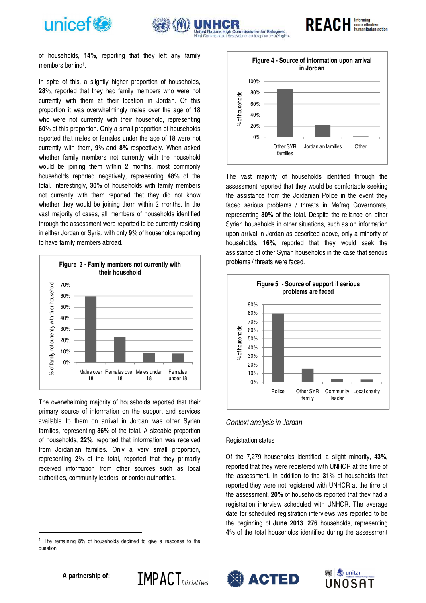





of households, **14%**, reporting that they left any family members behind<sup>1</sup>.

In spite of this, a slightly higher proportion of households, **28%**, reported that they had family members who were not currently with them at their location in Jordan. Of this proportion it was overwhelmingly males over the age of 18 who were not currently with their household, representing **60%** of this proportion. Only a small proportion of households reported that males or females under the age of 18 were not currently with them, **9%** and **8%** respectively. When asked whether family members not currently with the household would be joining them within 2 months, most commonly households reported negatively, representing **48%** of the total. Interestingly, **30%** of households with family members not currently with them reported that they did not know whether they would be joining them within 2 months. In the vast majority of cases, all members of households identified through the assessment were reported to be currently residing in either Jordan or Syria, with only **9%** of households reporting to have family members abroad.



The overwhelming majority of households reported that their primary source of information on the support and services available to them on arrival in Jordan was other Syrian families, representing **86%** of the total. A sizeable proportion of households, **22%**, reported that information was received from Jordanian families. Only a very small proportion, representing **2%** of the total, reported that they primarily received information from other sources such as local authorities, community leaders, or border authorities.

**IMPACT**<sub>*Initiatives*</sub>



The vast majority of households identified through the assessment reported that they would be comfortable seeking the assistance from the Jordanian Police in the event they faced serious problems / threats in Mafraq Governorate, representing **80%** of the total. Despite the reliance on other Syrian households in other situations, such as on information upon arrival in Jordan as described above, only a minority of households, **16%**, reported that they would seek the assistance of other Syrian households in the case that serious problems / threats were faced.



### Context analysis in Jordan

#### Registration status

Of the 7,279 households identified, a slight minority, **43%**, reported that they were registered with UNHCR at the time of the assessment. In addition to the **31%** of households that reported they were not registered with UNHCR at the time of the assessment, **20%** of households reported that they had a registration interview scheduled with UNHCR. The average date for scheduled registration interviews was reported to be the beginning of **June 2013**. **276** households, representing **4%** of the total households identified during the assessment





l

<sup>1</sup> The remaining **8%** of households declined to give a response to the question.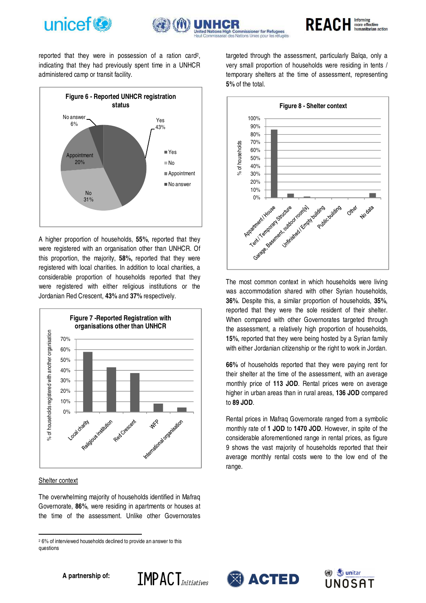



**REACH Informing manitarian action** 

reported that they were in possession of a ration card<sup>2</sup> , indicating that they had previously spent time in a UNHCR administered camp or transit facility.



A higher proportion of households, **55%**, reported that they were registered with an organisation other than UNHCR. Of this proportion, the majority, **58%,** reported that they were registered with local charities. In addition to local charities, a considerable proportion of households reported that they were registered with either religious institutions or the Jordanian Red Crescent, **43%** and **37%** respectively.



#### Shelter context

l

The overwhelming majority of households identified in Mafraq Governorate, **86%**, were residing in apartments or houses at the time of the assessment. Unlike other Governorates

targeted through the assessment, particularly Balqa, only a very small proportion of households were residing in tents / temporary shelters at the time of assessment, representing **5%** of the total.



The most common context in which households were living was accommodation shared with other Syrian households, **36%**. Despite this, a similar proportion of households, **35%**, reported that they were the sole resident of their shelter. When compared with other Governorates targeted through the assessment, a relatively high proportion of households, **15%**, reported that they were being hosted by a Syrian family with either Jordanian citizenship or the right to work in Jordan.

**66%** of households reported that they were paying rent for their shelter at the time of the assessment, with an average monthly price of **113 JOD**. Rental prices were on average higher in urban areas than in rural areas, **136 JOD** compared to **89 JOD**.

Rental prices in Mafraq Governorate ranged from a symbolic monthly rate of **1 JOD** to **1470 JOD**. However, in spite of the considerable aforementioned range in rental prices, as figure 9 shows the vast majority of households reported that their average monthly rental costs were to the low end of the range.









<sup>2</sup> 6% of interviewed households declined to provide an answer to this questions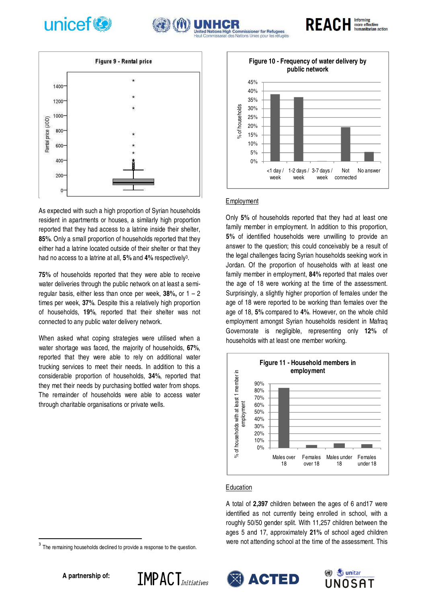



As expected with such a high proportion of Syrian households resident in apartments or houses, a similarly high proportion reported that they had access to a latrine inside their shelter, **85%**. Only a small proportion of households reported that they either had a latrine located outside of their shelter or that they had no access to a latrine at all, **5%** and **4%** respectively<sup>3</sup> .

**75%** of households reported that they were able to receive water deliveries through the public network on at least a semiregular basis, either less than once per week, **38%,** or 1 – 2 times per week, **37%**. Despite this a relatively high proportion of households, **19%**, reported that their shelter was not connected to any public water delivery network.

When asked what coping strategies were utilised when a water shortage was faced, the majority of households, **67%**, reported that they were able to rely on additional water trucking services to meet their needs. In addition to this a considerable proportion of households, **34%**, reported that they met their needs by purchasing bottled water from shops. The remainder of households were able to access water through charitable organisations or private wells.



**REACH** Informing

umanitarian action

### Employment

mmissioner for Refuge

Only **5%** of households reported that they had at least one family member in employment. In addition to this proportion, **5%** of identified households were unwilling to provide an answer to the question; this could conceivably be a result of the legal challenges facing Syrian households seeking work in Jordan. Of the proportion of households with at least one family member in employment, **84%** reported that males over the age of 18 were working at the time of the assessment. Surprisingly, a slightly higher proportion of females under the age of 18 were reported to be working than females over the age of 18, **5%** compared to **4%**. However, on the whole child employment amongst Syrian households resident in Mafraq Governorate is negligible, representing only **12%** of households with at least one member working.



#### Education

A total of **2,397** children between the ages of 6 and17 were identified as not currently being enrolled in school, with a roughly 50/50 gender split. With 11,257 children between the ages 5 and 17, approximately **21%** of school aged children were not attending school at the time of the assessment. This





**IMPACT**<sub>*Initiatives*</sub>

 $\overline{a}$ 

<sup>3</sup> The remaining households declined to provide a response to the question.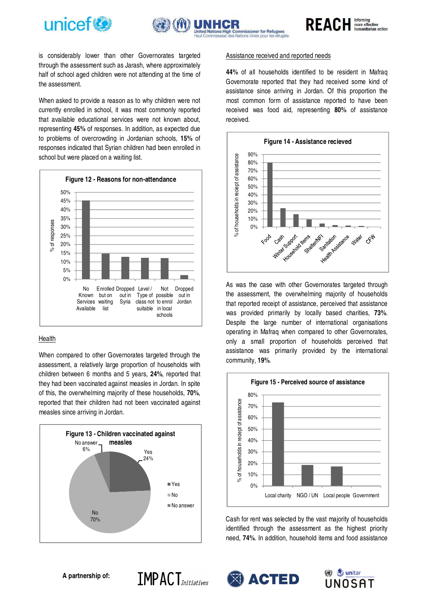



REACH Informing

is considerably lower than other Governorates targeted through the assessment such as Jarash, where approximately half of school aged children were not attending at the time of the assessment.

When asked to provide a reason as to why children were not currently enrolled in school, it was most commonly reported that available educational services were not known about, representing **45%** of responses. In addition, as expected due to problems of overcrowding in Jordanian schools, **15%** of responses indicated that Syrian children had been enrolled in school but were placed on a waiting list.



### Health

When compared to other Governorates targeted through the assessment, a relatively large proportion of households with children between 6 months and 5 years, **24%**, reported that they had been vaccinated against measles in Jordan. In spite of this, the overwhelming majority of these households, **70%**, reported that their children had not been vaccinated against measles since arriving in Jordan.



### Assistance received and reported needs

**44%** of all households identified to be resident in Mafraq Governorate reported that they had received some kind of assistance since arriving in Jordan. Of this proportion the most common form of assistance reported to have been received was food aid, representing **80%** of assistance received.



As was the case with other Governorates targeted through the assessment, the overwhelming majority of households that reported receipt of assistance, perceived that assistance was provided primarily by locally based charities, **73%**. Despite the large number of international organisations operating in Mafraq when compared to other Governorates, only a small proportion of households perceived that assistance was primarily provided by the international community, **19%**.



Cash for rent was selected by the vast majority of households identified through the assessment as the highest priority need, **74%**. In addition, household items and food assistance